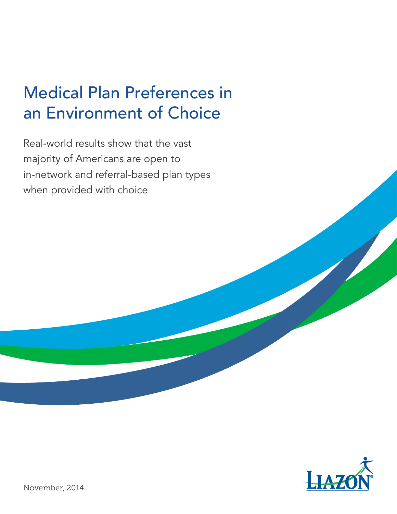## Medical Plan Preferences in an Environment of Choice

Real-world results show that the vast majority of Americans are open to in-network and referral-based plan types when provided with choice

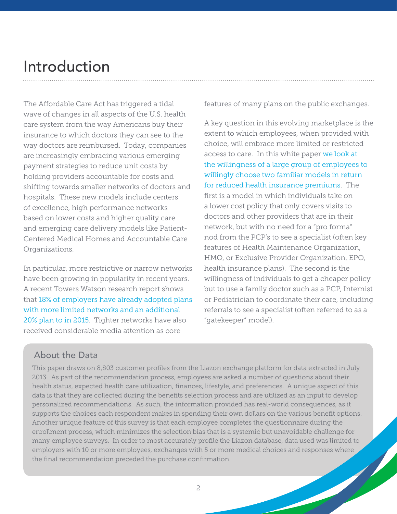### Introduction

The Affordable Care Act has triggered a tidal wave of changes in all aspects of the U.S. health care system from the way Americans buy their insurance to which doctors they can see to the way doctors are reimbursed. Today, companies are increasingly embracing various emerging payment strategies to reduce unit costs by holding providers accountable for costs and shifting towards smaller networks of doctors and hospitals. These new models include centers of excellence, high performance networks based on lower costs and higher quality care and emerging care delivery models like Patient-Centered Medical Homes and Accountable Care Organizations.

In particular, more restrictive or narrow networks have been growing in popularity in recent years. A recent Towers Watson research report shows that 18% of employers have already adopted plans with more limited networks and an additional 20% plan to in 2015. Tighter networks have also received considerable media attention as core

features of many plans on the public exchanges.

A key question in this evolving marketplace is the extent to which employees, when provided with choice, will embrace more limited or restricted access to care. In this white paper we look at the willingness of a large group of employees to willingly choose two familiar models in return for reduced health insurance premiums. The first is a model in which individuals take on a lower cost policy that only covers visits to doctors and other providers that are in their network, but with no need for a "pro forma" nod from the PCP's to see a specialist (often key features of Health Maintenance Organization, HMO, or Exclusive Provider Organization, EPO, health insurance plans). The second is the willingness of individuals to get a cheaper policy but to use a family doctor such as a PCP, Internist or Pediatrician to coordinate their care, including referrals to see a specialist (often referred to as a "gatekeeper" model).

### About the Data

This paper draws on 8,803 customer profiles from the Liazon exchange platform for data extracted in July 2013. As part of the recommendation process, employees are asked a number of questions about their health status, expected health care utilization, finances, lifestyle, and preferences. A unique aspect of this data is that they are collected during the benefits selection process and are utilized as an input to develop personalized recommendations. As such, the information provided has real-world consequences, as it supports the choices each respondent makes in spending their own dollars on the various benefit options. Another unique feature of this survey is that each employee completes the questionnaire during the enrollment process, which minimizes the selection bias that is a systemic but unavoidable challenge for many employee surveys. In order to most accurately profile the Liazon database, data used was limited to employers with 10 or more employees, exchanges with 5 or more medical choices and responses where the final recommendation preceded the purchase confirmation.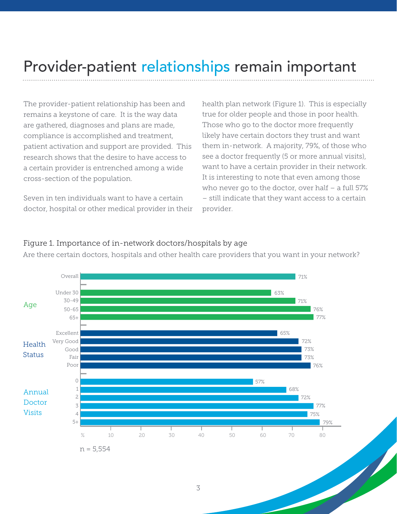### Provider-patient relationships remain important

The provider-patient relationship has been and remains a keystone of care. It is the way data are gathered, diagnoses and plans are made, compliance is accomplished and treatment, patient activation and support are provided. This research shows that the desire to have access to a certain provider is entrenched among a wide cross-section of the population.

Seven in ten individuals want to have a certain doctor, hospital or other medical provider in their

health plan network (Figure 1). This is especially true for older people and those in poor health. Those who go to the doctor more frequently likely have certain doctors they trust and want them in-network. A majority, 79%, of those who see a doctor frequently (5 or more annual visits), want to have a certain provider in their network. It is interesting to note that even among those who never go to the doctor, over half – a full 57% – still indicate that they want access to a certain provider.



#### Figure 1. Importance of in-network doctors/hospitals by age

Are there certain doctors, hospitals and other health care providers that you want in your network?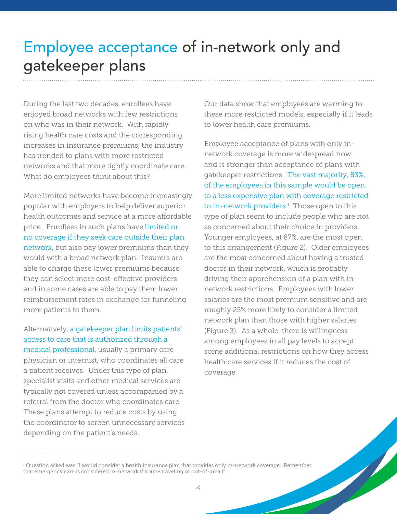### Employee acceptance of in-network only and gatekeeper plans

During the last two decades, enrollees have enjoyed broad networks with few restrictions on who was in their network. With rapidly rising health care costs and the corresponding increases in insurance premiums, the industry has trended to plans with more restricted networks and that more tightly coordinate care. What do employees think about this?

More limited networks have become increasingly popular with employers to help deliver superior health outcomes and service at a more affordable price. Enrollees in such plans have limited or no coverage if they seek care outside their plan network, but also pay lower premiums than they would with a broad network plan. Insurers are able to charge these lower premiums because they can select more cost-effective providers and in some cases are able to pay them lower reimbursement rates in exchange for funneling more patients to them.

Alternatively, a gatekeeper plan limits patients' access to care that is authorized through a medical professional, usually a primary care physician or internist, who coordinates all care a patient receives. Under this type of plan, specialist visits and other medical services are typically not covered unless accompanied by a referral from the doctor who coordinates care. These plans attempt to reduce costs by using the coordinator to screen unnecessary services depending on the patient's needs.

Our data show that employees are warming to these more restricted models, especially if it leads to lower health care premiums.

Employee acceptance of plans with only innetwork coverage is more widespread now and is stronger than acceptance of plans with gatekeeper restrictions. The vast majority, 83%, of the employees in this sample would be open to a less expensive plan with coverage restricted to in-network providers.<sup>1</sup> Those open to this type of plan seem to include people who are not as concerned about their choice in providers. Younger employees, at 87%, are the most open to this arrangement (Figure 2). Older employees are the most concerned about having a trusted doctor in their network, which is probably driving their apprehension of a plan with innetwork restrictions. Employees with lower salaries are the most premium sensitive and are roughly 25% more likely to consider a limited network plan than those with higher salaries (Figure 3). As a whole, there is willingness among employees in all pay levels to accept some additional restrictions on how they access health care services if it reduces the cost of coverage.

<sup>1</sup> Question asked was "I would consider a health insurance plan that provides only in-network coverage. (Remember that emergency care is considered in-network if you're traveling or out-of-area.)"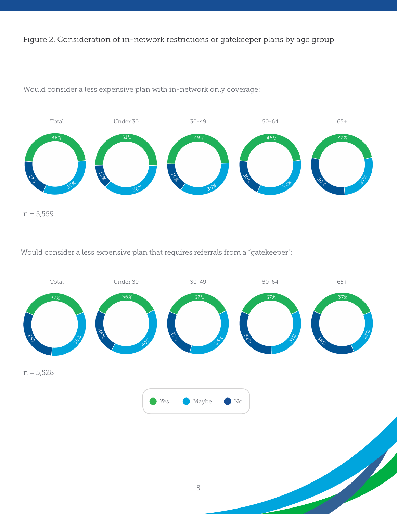Figure 2. Consideration of in-network restrictions or gatekeeper plans by age group



Would consider a less expensive plan with in-network only coverage:

Would consider a less expensive plan that requires referrals from a "gatekeeper":

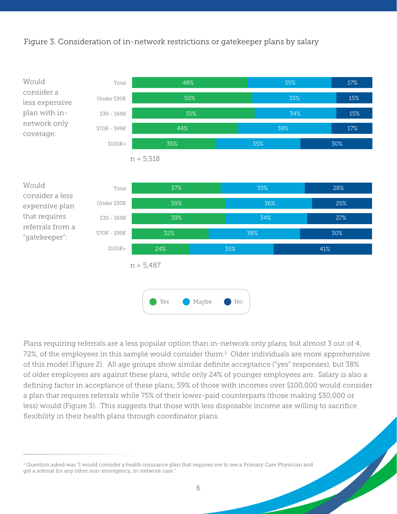#### Figure 3. Consideration of in-network restrictions or gatekeeper plans by salary



Plans requiring referrals are a less popular option than in-network only plans, but almost 3 out of 4, 72%, of the employees in this sample would consider them.<sup>2</sup> Older individuals are more apprehensive of this model (Figure 2). All age groups show similar definite acceptance ("yes" responses), but 38% of older employees are against these plans, while only 24% of younger employees are. Salary is also a defining factor in acceptance of these plans; 59% of those with incomes over \$100,000 would consider a plan that requires referrals while 75% of their lower-paid counterparts (those making \$30,000 or less) would (Figure 3). This suggests that those with less disposable income are willing to sacrifice flexibility in their health plans through coordinator plans.

 $2$  Question asked was "I would consider a health insurance plan that requires me to see a Primary Care Physician and get a referral for any other non-emergency, in-network care."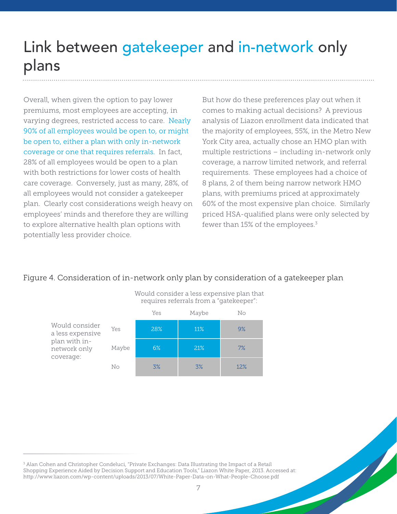## Link between gatekeeper and in-network only plans

Overall, when given the option to pay lower premiums, most employees are accepting, in varying degrees, restricted access to care. Nearly 90% of all employees would be open to, or might be open to, either a plan with only in-network coverage or one that requires referrals. In fact, 28% of all employees would be open to a plan with both restrictions for lower costs of health care coverage. Conversely, just as many, 28%, of all employees would not consider a gatekeeper plan. Clearly cost considerations weigh heavy on employees' minds and therefore they are willing to explore alternative health plan options with potentially less provider choice.

But how do these preferences play out when it comes to making actual decisions? A previous analysis of Liazon enrollment data indicated that the majority of employees, 55%, in the Metro New York City area, actually chose an HMO plan with multiple restrictions – including in-network only coverage, a narrow limited network, and referral requirements. These employees had a choice of 8 plans, 2 of them being narrow network HMO plans, with premiums priced at approximately 60% of the most expensive plan choice. Similarly priced HSA-qualified plans were only selected by fewer than 15% of the employees. $3$ 

#### Figure 4. Consideration of in-network only plan by consideration of a gatekeeper plan



Would consider a less expensive plan that requires referrals from a "gatekeeper":

<sup>3</sup> Alan Cohen and Christopher Condeluci, "Private Exchanges: Data Illustrating the Impact of a Retail Shopping Experience Aided by Decision Support and Education Tools," Liazon White Paper, 2013. Accessed at: http://www.liazon.com/wp-content/uploads/2013/07/White-Paper-Data-on-What-People-Choose.pdf